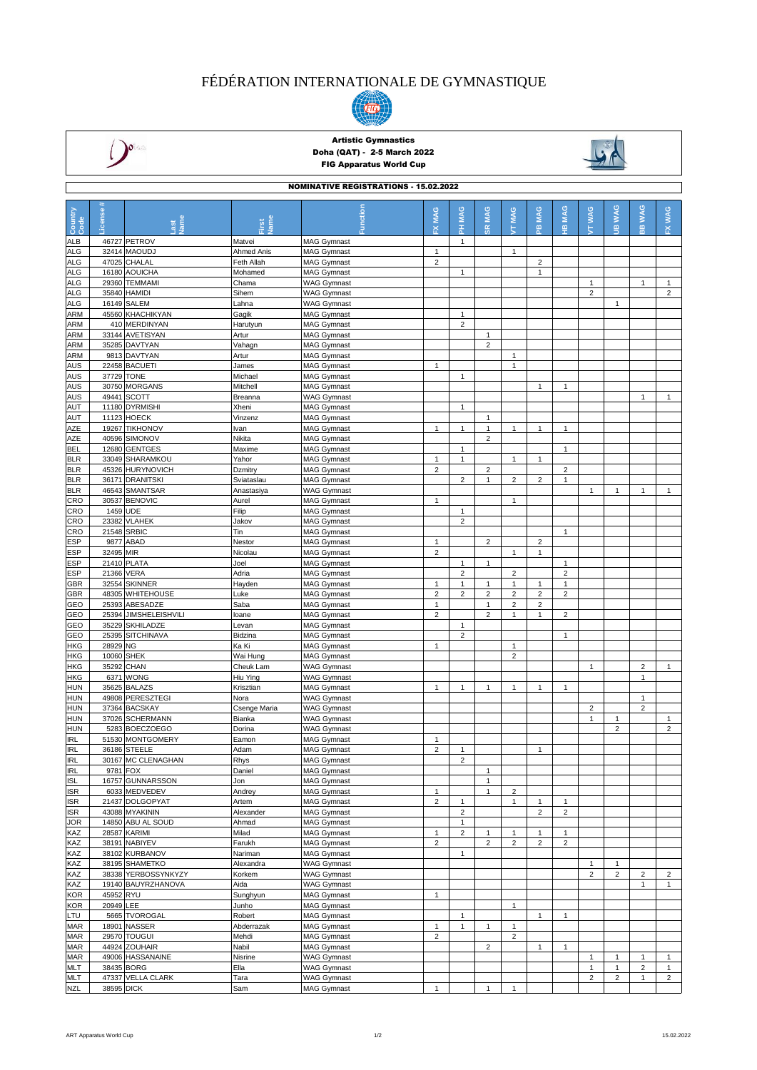# FÉDÉRATION INTERNATIONALE DE GYMNASTIQUE





### Artistic Gymnastics Doha (QAT) - 2-5 March 2022 FIG Apparatus World Cup



| <b>NOMINATIVE REGISTRATIONS - 15.02.2022</b> |                |                                     |                       |                                          |                         |                                |                                |                              |                         |                                |                                |                         |                                |                                |
|----------------------------------------------|----------------|-------------------------------------|-----------------------|------------------------------------------|-------------------------|--------------------------------|--------------------------------|------------------------------|-------------------------|--------------------------------|--------------------------------|-------------------------|--------------------------------|--------------------------------|
|                                              |                |                                     |                       |                                          |                         |                                |                                |                              |                         |                                |                                |                         |                                |                                |
| Country<br>Code                              | <b>License</b> |                                     |                       | Function                                 | MAG                     | PH MAG                         | <b>MAG</b>                     | MAG                          | <b>MAG</b>              | <b>MAG</b>                     | <b>WAG</b>                     | <b>JIB WAG</b>          | <b>WAG</b>                     | <b>WAG</b>                     |
|                                              |                | $\frac{8}{5}$                       | Jame<br>irst          |                                          | ᆇ                       |                                | œ                              | É                            | 은                       | φ                              | ŧ                              |                         | $\frac{1}{10}$                 | $\tilde{\mathbf{K}}$           |
| ALB                                          |                | 46727 PETROV                        | Matvei                | <b>MAG Gymnast</b>                       |                         | $\mathbf{1}$                   |                                |                              |                         |                                |                                |                         |                                |                                |
| <b>ALG</b>                                   |                | 32414 MAOUDJ                        | Ahmed Anis            | <b>MAG Gymnast</b>                       | $\mathbf{1}$            |                                |                                | $\mathbf{1}$                 |                         |                                |                                |                         |                                |                                |
| <b>ALG</b>                                   |                | 47025 CHALAL                        | Feth Allah            | <b>MAG Gymnast</b>                       | $\overline{2}$          |                                |                                |                              | $\mathbf 2$             |                                |                                |                         |                                |                                |
| <b>ALG</b>                                   |                | 16180 AOUICHA                       | Mohamed               | <b>MAG Gymnast</b>                       |                         | $\mathbf{1}$                   |                                |                              | $\mathbf{1}$            |                                |                                |                         |                                |                                |
| <b>ALG</b>                                   |                | 29360 TEMMAMI                       | Chama                 | <b>WAG Gymnast</b>                       |                         |                                |                                |                              |                         |                                | $\mathbf{1}$<br>$\overline{2}$ |                         | $\mathbf{1}$                   | $\mathbf{1}$<br>$\overline{c}$ |
| <b>ALG</b><br><b>ALG</b>                     |                | 35840 HAMIDI<br>16149 SALEM         | Sihem<br>Lahna        | <b>WAG Gymnast</b><br><b>WAG Gymnast</b> |                         |                                |                                |                              |                         |                                |                                | $\mathbf{1}$            |                                |                                |
| <b>ARM</b>                                   |                | 45560 KHACHIKYAN                    | Gagik                 | <b>MAG Gymnast</b>                       |                         | $\mathbf{1}$                   |                                |                              |                         |                                |                                |                         |                                |                                |
| <b>ARM</b>                                   |                | 410 MERDINYAN                       | Harutyun              | <b>MAG Gymnast</b>                       |                         | $\overline{2}$                 |                                |                              |                         |                                |                                |                         |                                |                                |
| <b>ARM</b>                                   |                | 33144 AVETISYAN                     | Artur                 | <b>MAG Gymnast</b>                       |                         |                                | $\mathbf{1}$                   |                              |                         |                                |                                |                         |                                |                                |
| <b>ARM</b>                                   |                | 35285 DAVTYAN                       | Vahagn                | <b>MAG Gymnast</b>                       |                         |                                | $\overline{2}$                 |                              |                         |                                |                                |                         |                                |                                |
| ARM                                          |                | 9813 DAVTYAN                        | Artur                 | <b>MAG Gymnast</b>                       |                         |                                |                                | $\mathbf{1}$                 |                         |                                |                                |                         |                                |                                |
| <b>AUS</b><br><b>AUS</b>                     | 37729 TONE     | 22458 BACUETI                       | James<br>Michael      | <b>MAG Gymnast</b>                       | $\mathbf{1}$            | $\mathbf{1}$                   |                                | $\mathbf{1}$                 |                         |                                |                                |                         |                                |                                |
| <b>AUS</b>                                   |                | 30750 MORGANS                       | Mitchell              | <b>MAG Gymnast</b><br><b>MAG Gymnast</b> |                         |                                |                                |                              | $\mathbf{1}$            | $\mathbf{1}$                   |                                |                         |                                |                                |
| <b>AUS</b>                                   |                | 49441 SCOTT                         | Breanna               | <b>WAG Gymnast</b>                       |                         |                                |                                |                              |                         |                                |                                |                         | $\mathbf{1}$                   | $\mathbf{1}$                   |
| AUT                                          |                | 11180 DYRMISHI                      | Xheni                 | <b>MAG Gymnast</b>                       |                         | $\mathbf{1}$                   |                                |                              |                         |                                |                                |                         |                                |                                |
| AUT                                          |                | 11123 HOECK                         | Vinzenz               | <b>MAG Gymnast</b>                       |                         |                                | $\mathbf{1}$                   |                              |                         |                                |                                |                         |                                |                                |
| AZE                                          |                | 19267 TIKHONOV                      | Ivan                  | <b>MAG Gymnast</b>                       | $\mathbf{1}$            | $\mathbf{1}$                   | $\mathbf{1}$                   | $\mathbf{1}$                 | $\mathbf{1}$            | $\mathbf{1}$                   |                                |                         |                                |                                |
| AZE                                          |                | 40596 SIMONOV                       | Nikita                | <b>MAG Gymnast</b>                       |                         |                                | $\overline{2}$                 |                              |                         |                                |                                |                         |                                |                                |
| <b>BEL</b>                                   |                | 12680 GENTGES                       | Maxime                | <b>MAG Gymnast</b>                       |                         | $\mathbf{1}$                   |                                |                              |                         | 1                              |                                |                         |                                |                                |
| <b>BLR</b>                                   |                | 33049 SHARAMKOU                     | Yahor                 | <b>MAG Gymnast</b>                       | $\mathbf{1}$            | $\mathbf{1}$                   |                                | $\mathbf{1}$                 | $\mathbf{1}$            |                                |                                |                         |                                |                                |
| <b>BLR</b><br><b>BLR</b>                     |                | 45326 HURYNOVICH<br>36171 DRANITSKI | Dzmitry<br>Sviataslau | <b>MAG Gymnast</b><br><b>MAG Gymnast</b> | $\overline{2}$          | $\overline{2}$                 | $\overline{2}$<br>$\mathbf{1}$ | $\overline{c}$               | $\overline{c}$          | $\overline{2}$<br>$\mathbf{1}$ |                                |                         |                                |                                |
| <b>BLR</b>                                   |                | 46543 SMANTSAR                      | Anastasiya            | <b>WAG Gymnast</b>                       |                         |                                |                                |                              |                         |                                | $\mathbf{1}$                   | $\mathbf{1}$            | $\mathbf{1}$                   | $\mathbf{1}$                   |
| CRO                                          |                | 30537 BENOVIC                       | Aurel                 | <b>MAG Gymnast</b>                       | $\mathbf{1}$            |                                |                                | $\mathbf{1}$                 |                         |                                |                                |                         |                                |                                |
| CRO                                          | 1459 UDE       |                                     | Filip                 | <b>MAG Gymnast</b>                       |                         | $\mathbf{1}$                   |                                |                              |                         |                                |                                |                         |                                |                                |
| CRO                                          |                | 23382 VLAHEK                        | Jakov                 | MAG Gymnast                              |                         | $\overline{2}$                 |                                |                              |                         |                                |                                |                         |                                |                                |
| CRO                                          | 21548          | <b>SRBIC</b>                        | Tin                   | <b>MAG Gymnast</b>                       |                         |                                |                                |                              |                         | $\mathbf{1}$                   |                                |                         |                                |                                |
| <b>ESP</b>                                   | 9877           | ABAD                                | Nestor                | <b>MAG Gymnast</b>                       | $\mathbf{1}$            |                                | $\overline{2}$                 |                              | $\overline{2}$          |                                |                                |                         |                                |                                |
| <b>ESP</b>                                   | 32495 MIR      |                                     | Nicolau               | <b>MAG Gymnast</b>                       | $\mathbf 2$             |                                |                                | $\mathbf{1}$                 | 1                       |                                |                                |                         |                                |                                |
| ESP                                          | 21410          | <b>PLATA</b>                        | Joel                  | <b>MAG Gymnast</b>                       |                         | $\mathbf{1}$                   | $\mathbf{1}$                   |                              |                         | $\overline{1}$                 |                                |                         |                                |                                |
| <b>ESP</b><br>GBR                            | 21366 VERA     | 32554 SKINNER                       | Adria<br>Hayden       | <b>MAG Gymnast</b><br><b>MAG Gymnast</b> | 1                       | $\overline{c}$<br>$\mathbf{1}$ | $\mathbf{1}$                   | $\overline{\mathbf{c}}$<br>1 | 1                       | $\overline{\mathbf{c}}$<br>1   |                                |                         |                                |                                |
| GBR                                          |                | 48305 WHITEHOUSE                    | Luke                  | <b>MAG Gymnast</b>                       | $\overline{\mathbf{c}}$ | $\overline{c}$                 | $\overline{c}$                 | $\overline{2}$               | $\overline{\mathbf{c}}$ | $\overline{c}$                 |                                |                         |                                |                                |
| GEO                                          | 25393          | ABESADZE                            | Saba                  | <b>MAG Gymnast</b>                       | $\mathbf{1}$            |                                | $\overline{1}$                 | $\overline{2}$               | $\overline{2}$          |                                |                                |                         |                                |                                |
| GEO                                          | 25394          | <b>JIMSHELEISHVILI</b>              | loane                 | <b>MAG Gymnast</b>                       | $\overline{2}$          |                                | $\overline{2}$                 | $\mathbf{1}$                 | $\mathbf{1}$            | 2                              |                                |                         |                                |                                |
| GEO                                          |                | 35229 SKHILADZE                     | Levan                 | <b>MAG Gymnast</b>                       |                         | $\mathbf{1}$                   |                                |                              |                         |                                |                                |                         |                                |                                |
| GEO                                          |                | 25395 SITCHINAVA                    | Bidzina               | <b>MAG Gymnast</b>                       |                         | $\overline{c}$                 |                                |                              |                         | $\mathbf{1}$                   |                                |                         |                                |                                |
| <b>HKG</b>                                   | 28929 NG       |                                     | Ka Ki                 | <b>MAG Gymnast</b>                       | $\mathbf{1}$            |                                |                                | $\mathbf{1}$                 |                         |                                |                                |                         |                                |                                |
| <b>HKG</b>                                   | 10060 SHEK     |                                     | Wai Hung              | <b>MAG Gymnast</b>                       |                         |                                |                                | $\overline{2}$               |                         |                                |                                |                         |                                |                                |
| <b>HKG</b><br><b>HKG</b>                     | 35292 CHAN     | 6371 WONG                           | Cheuk Lam<br>Hiu Ying | <b>WAG Gymnast</b><br><b>WAG Gymnast</b> |                         |                                |                                |                              |                         |                                | $\overline{1}$                 |                         | $\overline{2}$<br>$\mathbf{1}$ | $\mathbf{1}$                   |
| <b>HUN</b>                                   |                | 35625 BALAZS                        | Krisztian             | <b>MAG Gymnast</b>                       | $\mathbf{1}$            | $\mathbf{1}$                   | $\mathbf{1}$                   | $\mathbf{1}$                 | $\mathbf{1}$            | $\mathbf{1}$                   |                                |                         |                                |                                |
| <b>HUN</b>                                   |                | 49808 PERESZTEGI                    | Nora                  | <b>WAG Gymnast</b>                       |                         |                                |                                |                              |                         |                                |                                |                         | $\mathbf{1}$                   |                                |
| <b>HUN</b>                                   |                | 37364 BACSKAY                       | Csenge Maria          | <b>WAG Gymnast</b>                       |                         |                                |                                |                              |                         |                                | $\overline{2}$                 |                         | $\overline{2}$                 |                                |
| <b>HUN</b>                                   |                | 37026 SCHERMANN                     | Bianka                | <b>WAG Gymnast</b>                       |                         |                                |                                |                              |                         |                                | $\mathbf{1}$                   | $\mathbf{1}$            |                                | $\mathbf{1}$                   |
| <b>HUN</b>                                   |                | 5283 BOECZOEGO                      | Dorina                | <b>WAG Gymnast</b>                       |                         |                                |                                |                              |                         |                                |                                | $\overline{2}$          |                                | $\overline{c}$                 |
| <b>IRL</b>                                   |                | 51530 MONTGOMERY                    | Eamon                 | <b>MAG Gymnast</b>                       | 1                       |                                |                                |                              |                         |                                |                                |                         |                                |                                |
| <b>IRL</b>                                   |                | 36186 STEELE                        | Adam                  | MAG Gymnast                              | $\overline{\mathbf{c}}$ | $\mathbf{1}$                   |                                |                              |                         |                                |                                |                         |                                |                                |
| <b>IRL</b><br><b>IRL</b>                     | 9781 FOX       | 30167 MC CLENAGHAN                  | Rhys<br>Daniel        | <b>MAG Gymnast</b><br><b>MAG Gymnast</b> |                         | $\overline{2}$                 | $\mathbf{1}$                   |                              |                         |                                |                                |                         |                                |                                |
| <b>ISL</b>                                   |                | 16757 GUNNARSSON                    | Jon                   | MAG Gymnast                              |                         |                                | $\mathbf{1}$                   |                              |                         |                                |                                |                         |                                |                                |
| <b>ISR</b>                                   |                | 6033 MEDVEDEV                       | Andrey                | <b>MAG Gymnast</b>                       | $\mathbf{1}$            |                                | $\mathbf{1}$                   | $\overline{c}$               |                         |                                |                                |                         |                                |                                |
| <b>ISR</b>                                   |                | 21437 DOLGOPYAT                     | Artem                 | <b>MAG Gymnast</b>                       | $\overline{c}$          | $\mathbf{1}$                   |                                | $\mathbf{1}$                 | $\mathbf{1}$            | $\mathbf{1}$                   |                                |                         |                                |                                |
| <b>ISR</b>                                   |                | 43088 MYAKININ                      | Alexander             | <b>MAG Gymnast</b>                       |                         | $\overline{a}$                 |                                |                              | $\overline{\mathbf{c}}$ | $\overline{2}$                 |                                |                         |                                |                                |
| <b>JOR</b>                                   |                | 14850 ABU AL SOUD                   | Ahmad                 | <b>MAG Gymnast</b>                       |                         | $\mathbf{1}$                   |                                |                              |                         |                                |                                |                         |                                |                                |
| KAZ                                          |                | 28587 KARIMI                        | Milad                 | <b>MAG Gymnast</b>                       | $\mathbf{1}$            | $\overline{c}$                 | $\mathbf{1}$                   | $\mathbf{1}$                 | $\mathbf{1}$            | $\mathbf{1}$                   |                                |                         |                                |                                |
| KAZ                                          |                | 38191 NABIYEV                       | Farukh                | <b>MAG Gymnast</b>                       | $\overline{2}$          |                                | $\overline{2}$                 | $\overline{2}$               | $\overline{c}$          | $\overline{c}$                 |                                |                         |                                |                                |
| KAZ<br>KAZ                                   |                | 38102 KURBANOV<br>38195 SHAMETKO    | Nariman<br>Alexandra  | <b>MAG Gymnast</b>                       |                         | $\mathbf{1}$                   |                                |                              |                         |                                | $\mathbf{1}$                   | $\mathbf{1}$            |                                |                                |
| KAZ                                          |                | 38338 YERBOSSYNKYZY                 | Korkem                | <b>WAG Gymnast</b><br><b>WAG Gymnast</b> |                         |                                |                                |                              |                         |                                | $\overline{2}$                 | $\overline{\mathbf{c}}$ | $\overline{\mathbf{c}}$        | $\overline{c}$                 |
| KAZ                                          |                | 19140 BAUYRZHANOVA                  | Aida                  | <b>WAG Gymnast</b>                       |                         |                                |                                |                              |                         |                                |                                |                         | $\mathbf{1}$                   | $\mathbf{1}$                   |
| <b>KOR</b>                                   | 45952 RYU      |                                     | Sunghyun              | <b>MAG Gymnast</b>                       | $\mathbf{1}$            |                                |                                |                              |                         |                                |                                |                         |                                |                                |
| KOR                                          | 20949 LEE      |                                     | Junho                 | <b>MAG Gymnast</b>                       |                         |                                |                                | $\mathbf{1}$                 |                         |                                |                                |                         |                                |                                |
| LTU                                          |                | 5665 TVOROGAL                       | Robert                | <b>MAG Gymnast</b>                       |                         | $\mathbf{1}$                   |                                |                              | $\mathbf{1}$            | $\mathbf{1}$                   |                                |                         |                                |                                |
| <b>MAR</b>                                   |                | 18901 NASSER                        | Abderrazak            | <b>MAG Gymnast</b>                       | $\mathbf{1}$            | $\mathbf{1}$                   | $\mathbf{1}$                   | $\mathbf{1}$                 |                         |                                |                                |                         |                                |                                |
| <b>MAR</b>                                   |                | 29570 TOUGUI                        | Mehdi                 | <b>MAG Gymnast</b>                       | $\overline{2}$          |                                |                                | $\overline{c}$               |                         |                                |                                |                         |                                |                                |
| <b>MAR</b>                                   |                | 44924 ZOUHAIR                       | Nabil                 | <b>MAG Gymnast</b>                       |                         |                                | $\overline{2}$                 |                              | $\mathbf{1}$            | $\mathbf{1}$                   |                                |                         |                                |                                |
| <b>MAR</b><br><b>MLT</b>                     |                | 49006 HASSANAINE<br>38435 BORG      | Nisrine<br>Ella       | <b>WAG Gymnast</b><br><b>WAG Gymnast</b> |                         |                                |                                |                              |                         |                                | 1<br>$\mathbf{1}$              | 1<br>$\mathbf{1}$       | 1<br>$\mathbf 2$               | $\mathbf{1}$<br>$\mathbf{1}$   |
| <b>MLT</b>                                   |                | 47337 VELLA CLARK                   | Tara                  | <b>WAG Gymnast</b>                       |                         |                                |                                |                              |                         |                                | $\overline{2}$                 | $\overline{\mathbf{c}}$ | $\mathbf{1}$                   | $\overline{2}$                 |
| <b>NZL</b>                                   | 38595 DICK     |                                     | Sam                   | <b>MAG Gymnast</b>                       | $\mathbf{1}$            |                                | -1                             | $\mathbf{1}$                 |                         |                                |                                |                         |                                |                                |